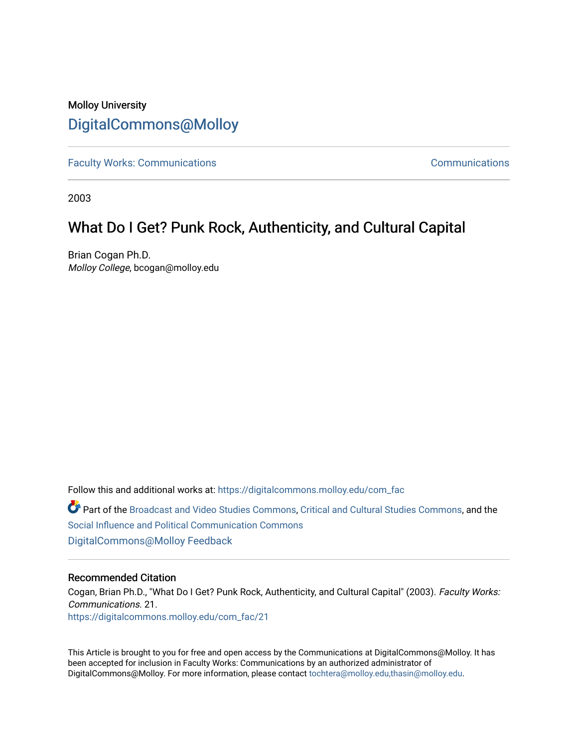# Molloy University [DigitalCommons@Molloy](https://digitalcommons.molloy.edu/)

[Faculty Works: Communications](https://digitalcommons.molloy.edu/com_fac) **Communications** Communications

2003

# What Do I Get? Punk Rock, Authenticity, and Cultural Capital

Brian Cogan Ph.D. Molloy College, bcogan@molloy.edu

Follow this and additional works at: [https://digitalcommons.molloy.edu/com\\_fac](https://digitalcommons.molloy.edu/com_fac?utm_source=digitalcommons.molloy.edu%2Fcom_fac%2F21&utm_medium=PDF&utm_campaign=PDFCoverPages) 

Part of the [Broadcast and Video Studies Commons,](https://network.bepress.com/hgg/discipline/326?utm_source=digitalcommons.molloy.edu%2Fcom_fac%2F21&utm_medium=PDF&utm_campaign=PDFCoverPages) [Critical and Cultural Studies Commons,](https://network.bepress.com/hgg/discipline/328?utm_source=digitalcommons.molloy.edu%2Fcom_fac%2F21&utm_medium=PDF&utm_campaign=PDFCoverPages) and the [Social Influence and Political Communication Commons](https://network.bepress.com/hgg/discipline/337?utm_source=digitalcommons.molloy.edu%2Fcom_fac%2F21&utm_medium=PDF&utm_campaign=PDFCoverPages) [DigitalCommons@Molloy Feedback](https://molloy.libwizard.com/f/dcfeedback)

## Recommended Citation

Cogan, Brian Ph.D., "What Do I Get? Punk Rock, Authenticity, and Cultural Capital" (2003). Faculty Works: Communications. 21. [https://digitalcommons.molloy.edu/com\\_fac/21](https://digitalcommons.molloy.edu/com_fac/21?utm_source=digitalcommons.molloy.edu%2Fcom_fac%2F21&utm_medium=PDF&utm_campaign=PDFCoverPages)

This Article is brought to you for free and open access by the Communications at DigitalCommons@Molloy. It has been accepted for inclusion in Faculty Works: Communications by an authorized administrator of DigitalCommons@Molloy. For more information, please contact [tochtera@molloy.edu,thasin@molloy.edu.](mailto:tochtera@molloy.edu,thasin@molloy.edu)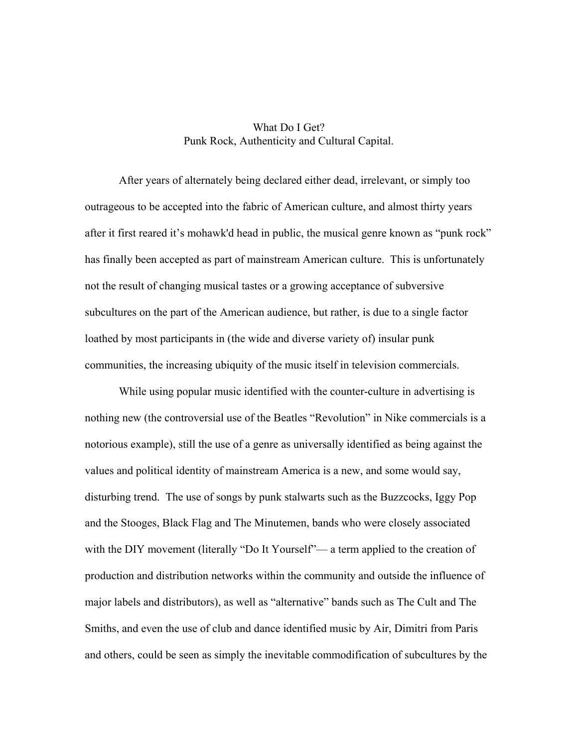# What Do I Get? Punk Rock, Authenticity and Cultural Capital.

 After years of alternately being declared either dead, irrelevant, or simply too outrageous to be accepted into the fabric of American culture, and almost thirty years after it first reared it's mohawk'd head in public, the musical genre known as "punk rock" has finally been accepted as part of mainstream American culture. This is unfortunately not the result of changing musical tastes or a growing acceptance of subversive subcultures on the part of the American audience, but rather, is due to a single factor loathed by most participants in (the wide and diverse variety of) insular punk communities, the increasing ubiquity of the music itself in television commercials.

 While using popular music identified with the counter-culture in advertising is nothing new (the controversial use of the Beatles "Revolution" in Nike commercials is a notorious example), still the use of a genre as universally identified as being against the values and political identity of mainstream America is a new, and some would say, disturbing trend. The use of songs by punk stalwarts such as the Buzzcocks, Iggy Pop and the Stooges, Black Flag and The Minutemen, bands who were closely associated with the DIY movement (literally "Do It Yourself"— a term applied to the creation of production and distribution networks within the community and outside the influence of major labels and distributors), as well as "alternative" bands such as The Cult and The Smiths, and even the use of club and dance identified music by Air, Dimitri from Paris and others, could be seen as simply the inevitable commodification of subcultures by the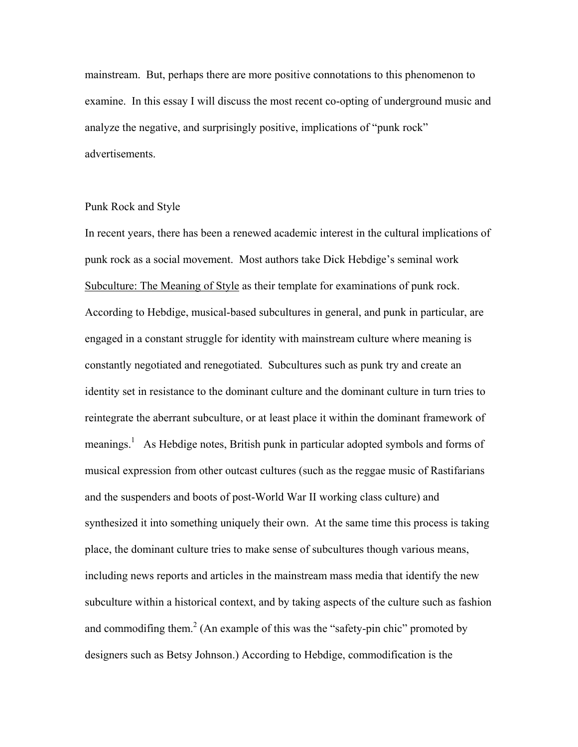mainstream. But, perhaps there are more positive connotations to this phenomenon to examine. In this essay I will discuss the most recent co-opting of underground music and analyze the negative, and surprisingly positive, implications of "punk rock" advertisements.

#### Punk Rock and Style

In recent years, there has been a renewed academic interest in the cultural implications of punk rock as a social movement. Most authors take Dick Hebdige's seminal work Subculture: The Meaning of Style as their template for examinations of punk rock. According to Hebdige, musical-based subcultures in general, and punk in particular, are engaged in a constant struggle for identity with mainstream culture where meaning is constantly negotiated and renegotiated. Subcultures such as punk try and create an identity set in resistance to the dominant culture and the dominant culture in turn tries to reintegrate the aberrant subculture, or at least place it within the dominant framework of meanings.<sup>[1](#page-12-0)</sup> As Hebdige notes, British punk in particular adopted symbols and forms of musical expression from other outcast cultures (such as the reggae music of Rastifarians and the suspenders and boots of post-World War II working class culture) and synthesized it into something uniquely their own. At the same time this process is taking place, the dominant culture tries to make sense of subcultures though various means, including news reports and articles in the mainstream mass media that identify the new subculture within a historical context, and by taking aspects of the culture such as fashion and commodifing them.<sup>[2](#page-12-1)</sup> (An example of this was the "safety-pin chic" promoted by designers such as Betsy Johnson.) According to Hebdige, commodification is the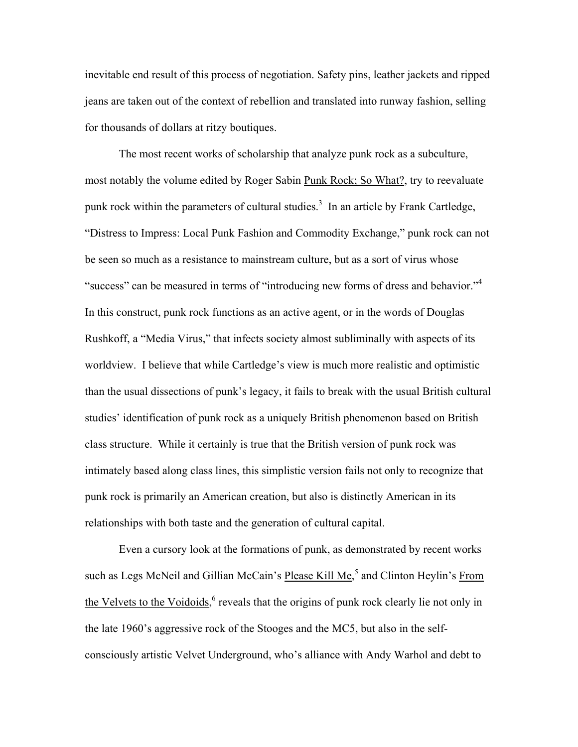inevitable end result of this process of negotiation. Safety pins, leather jackets and ripped jeans are taken out of the context of rebellion and translated into runway fashion, selling for thousands of dollars at ritzy boutiques.

 The most recent works of scholarship that analyze punk rock as a subculture, most notably the volume edited by Roger Sabin Punk Rock; So What?, try to reevaluate punk rock within the parameters of cultural studies.<sup>[3](#page-12-2)</sup> In an article by Frank Cartledge, "Distress to Impress: Local Punk Fashion and Commodity Exchange," punk rock can not be seen so much as a resistance to mainstream culture, but as a sort of virus whose "success" can be measured in terms of "introducing new forms of dress and behavior."<sup>[4](#page-12-3)</sup> In this construct, punk rock functions as an active agent, or in the words of Douglas Rushkoff, a "Media Virus," that infects society almost subliminally with aspects of its worldview. I believe that while Cartledge's view is much more realistic and optimistic than the usual dissections of punk's legacy, it fails to break with the usual British cultural studies' identification of punk rock as a uniquely British phenomenon based on British class structure. While it certainly is true that the British version of punk rock was intimately based along class lines, this simplistic version fails not only to recognize that punk rock is primarily an American creation, but also is distinctly American in its relationships with both taste and the generation of cultural capital.

 Even a cursory look at the formations of punk, as demonstrated by recent works such as Legs McNeil and Gillian McCain's Please Kill Me,<sup>[5](#page-12-4)</sup> and Clinton Heylin's From the Velvets to the Voidoids,<sup>[6](#page-12-5)</sup> reveals that the origins of punk rock clearly lie not only in the late 1960's aggressive rock of the Stooges and the MC5, but also in the selfconsciously artistic Velvet Underground, who's alliance with Andy Warhol and debt to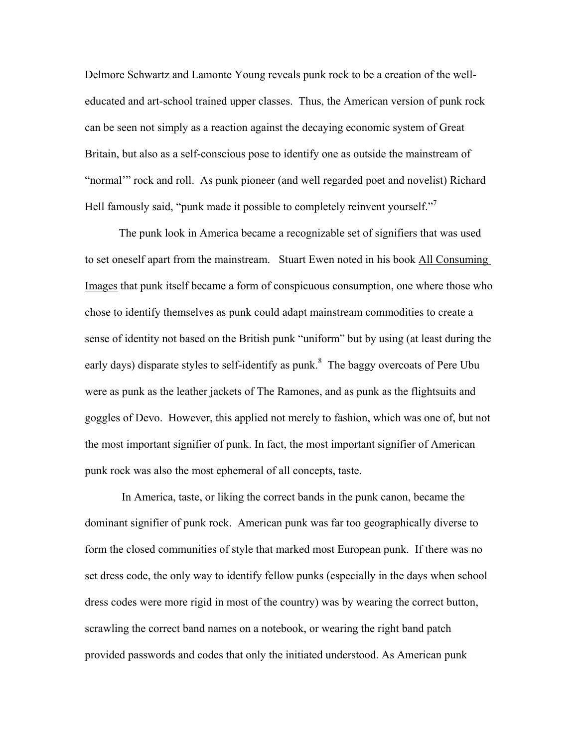Delmore Schwartz and Lamonte Young reveals punk rock to be a creation of the welleducated and art-school trained upper classes. Thus, the American version of punk rock can be seen not simply as a reaction against the decaying economic system of Great Britain, but also as a self-conscious pose to identify one as outside the mainstream of "normal'" rock and roll. As punk pioneer (and well regarded poet and novelist) Richard Hell famously said, "punk made it possible to completely reinvent yourself."<sup>[7](#page-12-6)</sup>

The punk look in America became a recognizable set of signifiers that was used to set oneself apart from the mainstream. Stuart Ewen noted in his book All Consuming Images that punk itself became a form of conspicuous consumption, one where those who chose to identify themselves as punk could adapt mainstream commodities to create a sense of identity not based on the British punk "uniform" but by using (at least during the early days) disparate styles to self-identify as punk.<sup>[8](#page-12-7)</sup> The baggy overcoats of Pere Ubu were as punk as the leather jackets of The Ramones, and as punk as the flightsuits and goggles of Devo. However, this applied not merely to fashion, which was one of, but not the most important signifier of punk. In fact, the most important signifier of American punk rock was also the most ephemeral of all concepts, taste.

 In America, taste, or liking the correct bands in the punk canon, became the dominant signifier of punk rock. American punk was far too geographically diverse to form the closed communities of style that marked most European punk. If there was no set dress code, the only way to identify fellow punks (especially in the days when school dress codes were more rigid in most of the country) was by wearing the correct button, scrawling the correct band names on a notebook, or wearing the right band patch provided passwords and codes that only the initiated understood. As American punk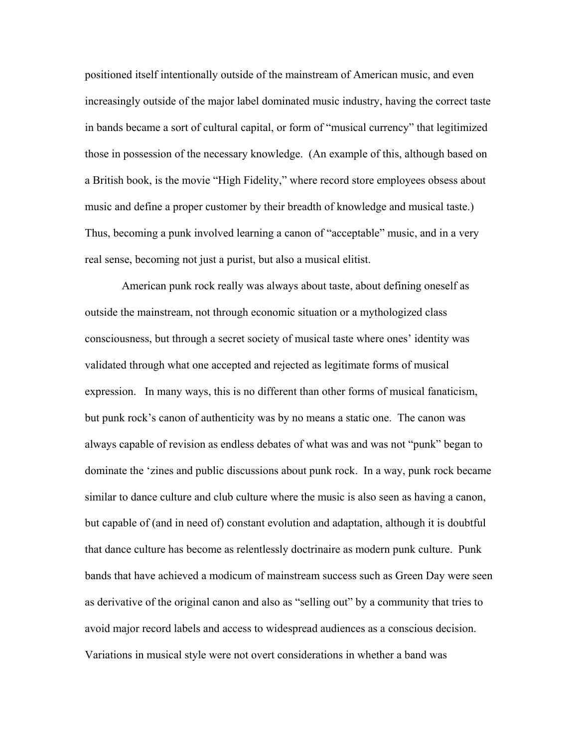positioned itself intentionally outside of the mainstream of American music, and even increasingly outside of the major label dominated music industry, having the correct taste in bands became a sort of cultural capital, or form of "musical currency" that legitimized those in possession of the necessary knowledge. (An example of this, although based on a British book, is the movie "High Fidelity," where record store employees obsess about music and define a proper customer by their breadth of knowledge and musical taste.) Thus, becoming a punk involved learning a canon of "acceptable" music, and in a very real sense, becoming not just a purist, but also a musical elitist.

 American punk rock really was always about taste, about defining oneself as outside the mainstream, not through economic situation or a mythologized class consciousness, but through a secret society of musical taste where ones' identity was validated through what one accepted and rejected as legitimate forms of musical expression. In many ways, this is no different than other forms of musical fanaticism, but punk rock's canon of authenticity was by no means a static one. The canon was always capable of revision as endless debates of what was and was not "punk" began to dominate the 'zines and public discussions about punk rock. In a way, punk rock became similar to dance culture and club culture where the music is also seen as having a canon, but capable of (and in need of) constant evolution and adaptation, although it is doubtful that dance culture has become as relentlessly doctrinaire as modern punk culture. Punk bands that have achieved a modicum of mainstream success such as Green Day were seen as derivative of the original canon and also as "selling out" by a community that tries to avoid major record labels and access to widespread audiences as a conscious decision. Variations in musical style were not overt considerations in whether a band was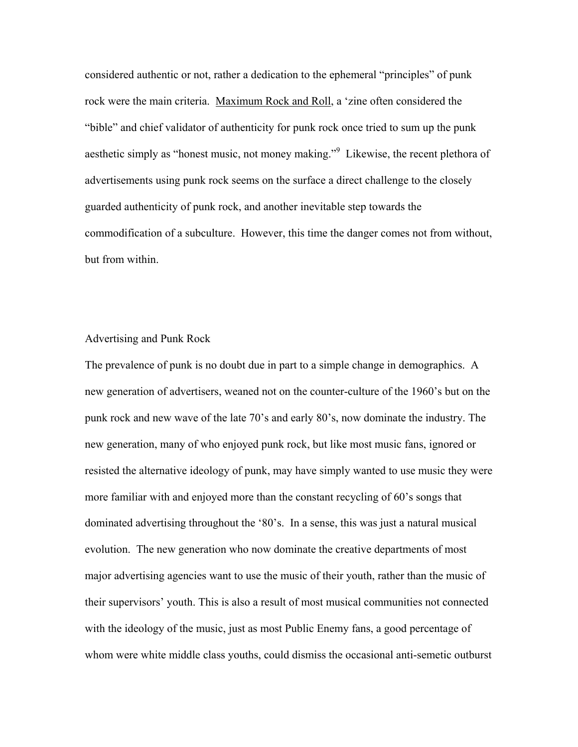considered authentic or not, rather a dedication to the ephemeral "principles" of punk rock were the main criteria. Maximum Rock and Roll, a 'zine often considered the "bible" and chief validator of authenticity for punk rock once tried to sum up the punk aesthetic simply as "honest music, not money making."<sup>[9](#page-12-8)</sup> Likewise, the recent plethora of advertisements using punk rock seems on the surface a direct challenge to the closely guarded authenticity of punk rock, and another inevitable step towards the commodification of a subculture. However, this time the danger comes not from without, but from within.

### Advertising and Punk Rock

The prevalence of punk is no doubt due in part to a simple change in demographics. A new generation of advertisers, weaned not on the counter-culture of the 1960's but on the punk rock and new wave of the late 70's and early 80's, now dominate the industry. The new generation, many of who enjoyed punk rock, but like most music fans, ignored or resisted the alternative ideology of punk, may have simply wanted to use music they were more familiar with and enjoyed more than the constant recycling of 60's songs that dominated advertising throughout the '80's. In a sense, this was just a natural musical evolution. The new generation who now dominate the creative departments of most major advertising agencies want to use the music of their youth, rather than the music of their supervisors' youth. This is also a result of most musical communities not connected with the ideology of the music, just as most Public Enemy fans, a good percentage of whom were white middle class youths, could dismiss the occasional anti-semetic outburst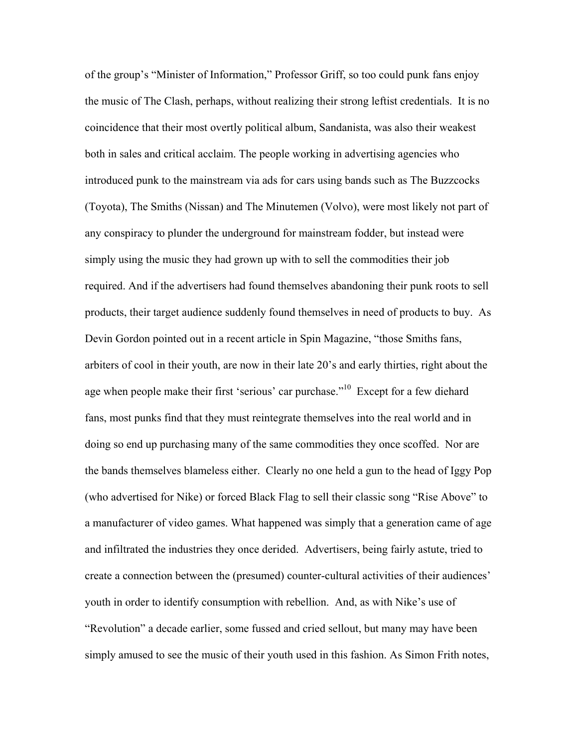of the group's "Minister of Information," Professor Griff, so too could punk fans enjoy the music of The Clash, perhaps, without realizing their strong leftist credentials. It is no coincidence that their most overtly political album, Sandanista, was also their weakest both in sales and critical acclaim. The people working in advertising agencies who introduced punk to the mainstream via ads for cars using bands such as The Buzzcocks (Toyota), The Smiths (Nissan) and The Minutemen (Volvo), were most likely not part of any conspiracy to plunder the underground for mainstream fodder, but instead were simply using the music they had grown up with to sell the commodities their job required. And if the advertisers had found themselves abandoning their punk roots to sell products, their target audience suddenly found themselves in need of products to buy. As Devin Gordon pointed out in a recent article in Spin Magazine, "those Smiths fans, arbiters of cool in their youth, are now in their late 20's and early thirties, right about the age when people make their first 'serious' car purchase."[10](#page-12-9) Except for a few diehard fans, most punks find that they must reintegrate themselves into the real world and in doing so end up purchasing many of the same commodities they once scoffed. Nor are the bands themselves blameless either. Clearly no one held a gun to the head of Iggy Pop (who advertised for Nike) or forced Black Flag to sell their classic song "Rise Above" to a manufacturer of video games. What happened was simply that a generation came of age and infiltrated the industries they once derided. Advertisers, being fairly astute, tried to create a connection between the (presumed) counter-cultural activities of their audiences' youth in order to identify consumption with rebellion. And, as with Nike's use of "Revolution" a decade earlier, some fussed and cried sellout, but many may have been simply amused to see the music of their youth used in this fashion. As Simon Frith notes,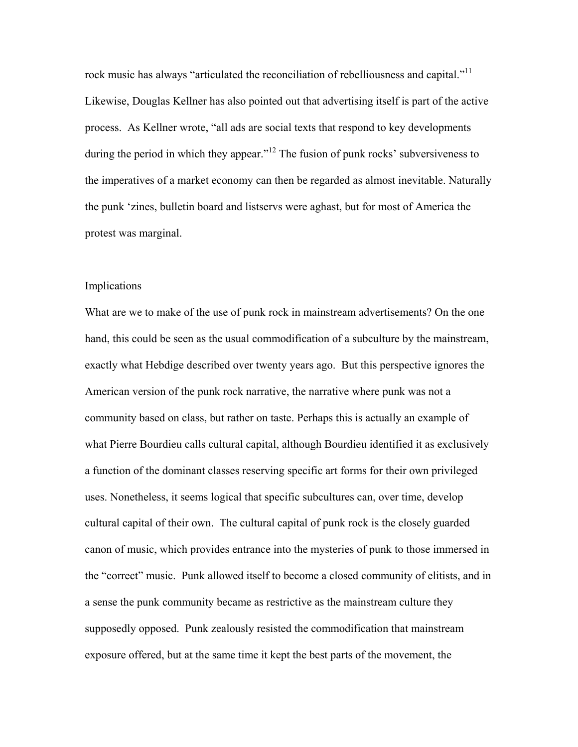rock music has always "articulated the reconciliation of rebelliousness and capital."<sup>[11](#page-12-10)</sup> Likewise, Douglas Kellner has also pointed out that advertising itself is part of the active process. As Kellner wrote, "all ads are social texts that respond to key developments during the period in which they appear."<sup>12</sup> The fusion of punk rocks' subversiveness to the imperatives of a market economy can then be regarded as almost inevitable. Naturally the punk 'zines, bulletin board and listservs were aghast, but for most of America the protest was marginal.

## Implications

What are we to make of the use of punk rock in mainstream advertisements? On the one hand, this could be seen as the usual commodification of a subculture by the mainstream, exactly what Hebdige described over twenty years ago. But this perspective ignores the American version of the punk rock narrative, the narrative where punk was not a community based on class, but rather on taste. Perhaps this is actually an example of what Pierre Bourdieu calls cultural capital, although Bourdieu identified it as exclusively a function of the dominant classes reserving specific art forms for their own privileged uses. Nonetheless, it seems logical that specific subcultures can, over time, develop cultural capital of their own. The cultural capital of punk rock is the closely guarded canon of music, which provides entrance into the mysteries of punk to those immersed in the "correct" music. Punk allowed itself to become a closed community of elitists, and in a sense the punk community became as restrictive as the mainstream culture they supposedly opposed. Punk zealously resisted the commodification that mainstream exposure offered, but at the same time it kept the best parts of the movement, the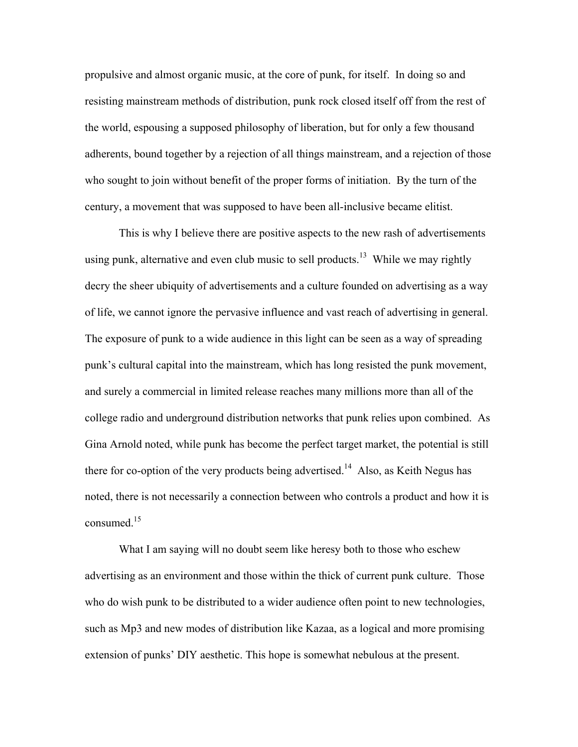propulsive and almost organic music, at the core of punk, for itself. In doing so and resisting mainstream methods of distribution, punk rock closed itself off from the rest of the world, espousing a supposed philosophy of liberation, but for only a few thousand adherents, bound together by a rejection of all things mainstream, and a rejection of those who sought to join without benefit of the proper forms of initiation. By the turn of the century, a movement that was supposed to have been all-inclusive became elitist.

 This is why I believe there are positive aspects to the new rash of advertisements using punk, alternative and even club music to sell products.<sup>13</sup> While we may rightly decry the sheer ubiquity of advertisements and a culture founded on advertising as a way of life, we cannot ignore the pervasive influence and vast reach of advertising in general. The exposure of punk to a wide audience in this light can be seen as a way of spreading punk's cultural capital into the mainstream, which has long resisted the punk movement, and surely a commercial in limited release reaches many millions more than all of the college radio and underground distribution networks that punk relies upon combined. As Gina Arnold noted, while punk has become the perfect target market, the potential is still there for co-option of the very products being advertised.<sup>14</sup> Also, as Keith Negus has noted, there is not necessarily a connection between who controls a product and how it is consumed<sup>[15](#page-12-14)</sup>

 What I am saying will no doubt seem like heresy both to those who eschew advertising as an environment and those within the thick of current punk culture. Those who do wish punk to be distributed to a wider audience often point to new technologies, such as Mp3 and new modes of distribution like Kazaa, as a logical and more promising extension of punks' DIY aesthetic. This hope is somewhat nebulous at the present.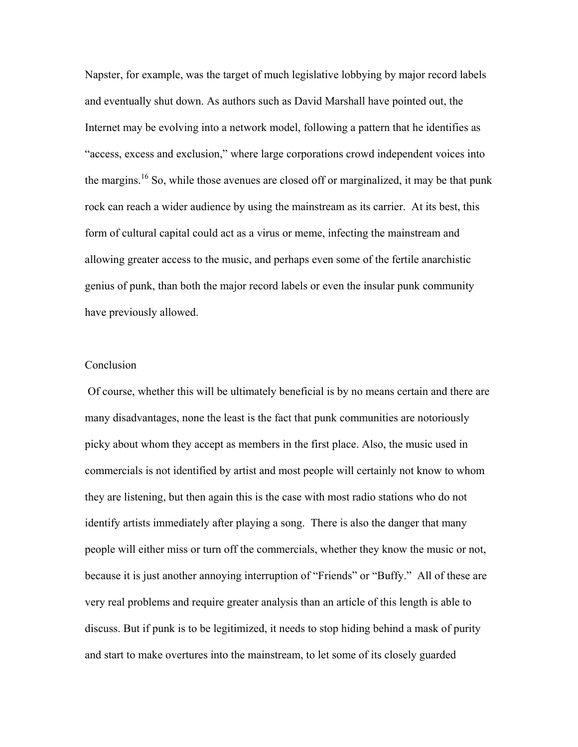Napster, for example, was the target of much legislative lobbying by major record labels and eventually shut down. As authors such as David Marshall have pointed out, the Internet may be evolving into a network model, following a pattern that he identifies as "access, excess and exclusion," where large corporations crowd independent voices into the margins.<sup>16</sup> So, while those avenues are closed off or marginalized, it may be that punk rock can reach a wider audience by using the mainstream as its carrier. At its best, this form of cultural capital could act as a virus or meme, infecting the mainstream and allowing greater access to the music, and perhaps even some of the fertile anarchistic genius of punk, than both the major record labels or even the insular punk community have previously allowed.

# Conclusion

 Of course, whether this will be ultimately beneficial is by no means certain and there are many disadvantages, none the least is the fact that punk communities are notoriously picky about whom they accept as members in the first place. Also, the music used in commercials is not identified by artist and most people will certainly not know to whom they are listening, but then again this is the case with most radio stations who do not identify artists immediately after playing a song. There is also the danger that many people will either miss or turn off the commercials, whether they know the music or not, because it is just another annoying interruption of "Friends" or "Buffy." All of these are very real problems and require greater analysis than an article of this length is able to discuss. But if punk is to be legitimized, it needs to stop hiding behind a mask of purity and start to make overtures into the mainstream, to let some of its closely guarded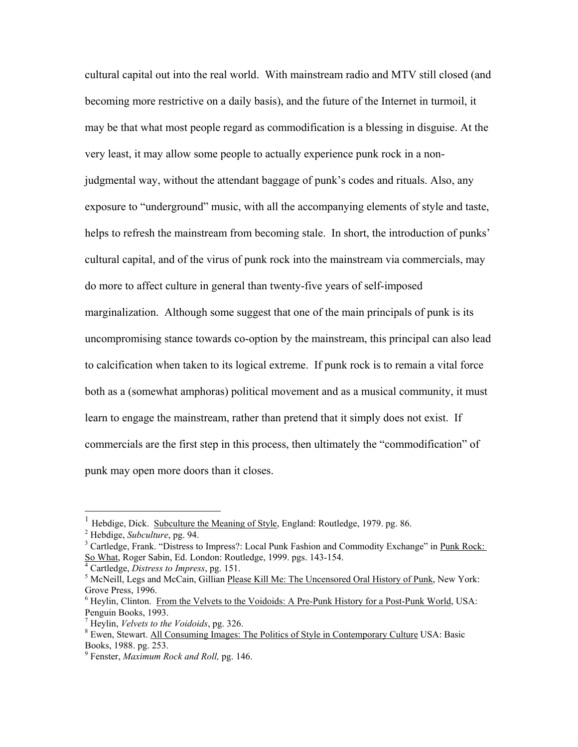cultural capital out into the real world. With mainstream radio and MTV still closed (and becoming more restrictive on a daily basis), and the future of the Internet in turmoil, it may be that what most people regard as commodification is a blessing in disguise. At the very least, it may allow some people to actually experience punk rock in a nonjudgmental way, without the attendant baggage of punk's codes and rituals. Also, any exposure to "underground" music, with all the accompanying elements of style and taste, helps to refresh the mainstream from becoming stale. In short, the introduction of punks' cultural capital, and of the virus of punk rock into the mainstream via commercials, may do more to affect culture in general than twenty-five years of self-imposed marginalization. Although some suggest that one of the main principals of punk is its uncompromising stance towards co-option by the mainstream, this principal can also lead to calcification when taken to its logical extreme. If punk rock is to remain a vital force both as a (somewhat amphoras) political movement and as a musical community, it must learn to engage the mainstream, rather than pretend that it simply does not exist. If commercials are the first step in this process, then ultimately the "commodification" of punk may open more doors than it closes.

 $\overline{a}$ 

<sup>1</sup> Hebdige, Dick. Subculture the Meaning of Style, England: Routledge, 1979. pg. 86. 2

 $<sup>2</sup>$  Hebdige, *Subculture*, pg. 94.</sup>

<sup>&</sup>lt;sup>3</sup> Cartledge, Frank. "Distress to Impress?: Local Punk Fashion and Commodity Exchange" in Punk Rock: So What, Roger Sabin, Ed. London: Routledge, 1999. pgs. 143-154. 4

<sup>&</sup>lt;sup>4</sup> Cartledge, *Distress to Impress*, pg. 151.

<sup>&</sup>lt;sup>5</sup> McNeill, Legs and McCain, Gillian Please Kill Me: The Uncensored Oral History of Punk, New York: Grove Press, 1996.

<sup>&</sup>lt;sup>6</sup> Heylin, Clinton. From the Velvets to the Voidoids: A Pre-Punk History for a Post-Punk World, USA: Penguin Books, 1993.

 $T$  Heylin, *Velvets to the Voidoids*, pg. 326.

<sup>&</sup>lt;sup>8</sup> Ewen, Stewart. All Consuming Images: The Politics of Style in Contemporary Culture USA: Basic Books, 1988. pg. 253.

<sup>9</sup> Fenster, *Maximum Rock and Roll,* pg. 146.